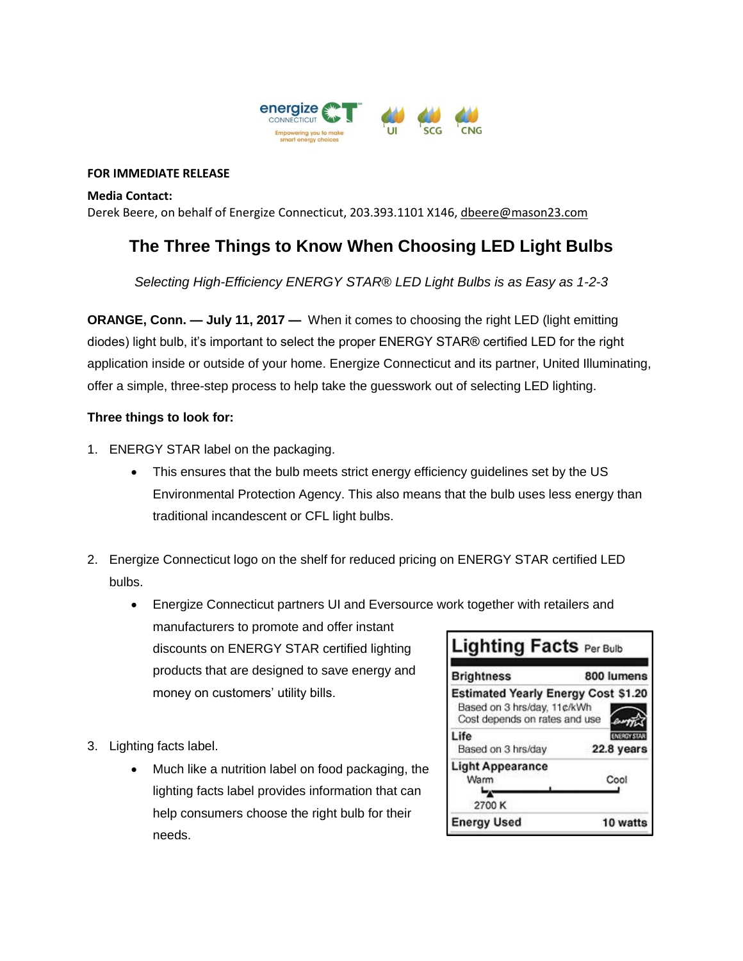

## **FOR IMMEDIATE RELEASE**

**Media Contact:** Derek Beere, on behalf of Energize Connecticut, 203.393.1101 X146[, dbeere@mason23.com](mailto:dbeere@mason23.com)

## **The Three Things to Know When Choosing LED Light Bulbs**

*Selecting High-Efficiency ENERGY STAR® LED Light Bulbs is as Easy as 1-2-3*

**ORANGE, Conn. — July 11, 2017 —** When it comes to choosing the right LED (light emitting diodes) light bulb, it's important to select the proper ENERGY STAR® certified LED for the right application inside or outside of your home. Energize Connecticut and its partner, United Illuminating, offer a simple, three-step process to help take the guesswork out of selecting LED lighting.

## **Three things to look for:**

- 1. ENERGY STAR label on the packaging.
	- This ensures that the bulb meets strict energy efficiency guidelines set by the US Environmental Protection Agency. This also means that the bulb uses less energy than traditional incandescent or CFL light bulbs.
- 2. Energize Connecticut logo on the shelf for reduced pricing on ENERGY STAR certified LED bulbs.
	- Energize Connecticut partners UI and Eversource work together with retailers and manufacturers to promote and offer instant discounts on ENERGY STAR certified lighting products that are designed to save energy and **Brightness**
- 3. Lighting facts label.
	- Much like a nutrition label on food packaging, the lighting facts label provides information that can help consumers choose the right bulb for their needs.

money on customers' utility bills.